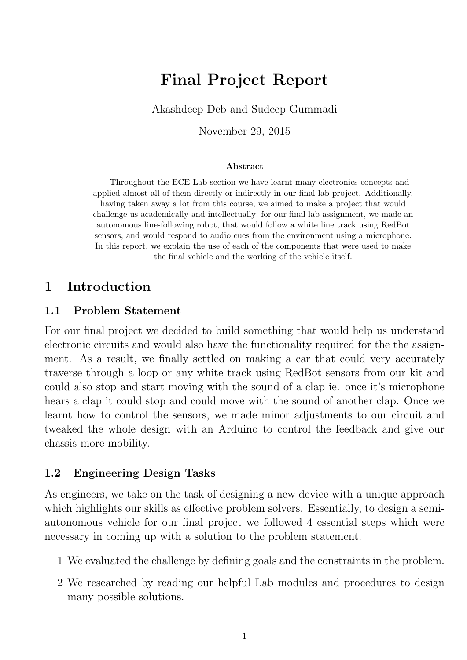# Final Project Report

Akashdeep Deb and Sudeep Gummadi

November 29, 2015

#### Abstract

Throughout the ECE Lab section we have learnt many electronics concepts and applied almost all of them directly or indirectly in our final lab project. Additionally, having taken away a lot from this course, we aimed to make a project that would challenge us academically and intellectually; for our final lab assignment, we made an autonomous line-following robot, that would follow a white line track using RedBot sensors, and would respond to audio cues from the environment using a microphone. In this report, we explain the use of each of the components that were used to make the final vehicle and the working of the vehicle itself.

### 1 Introduction

#### 1.1 Problem Statement

For our final project we decided to build something that would help us understand electronic circuits and would also have the functionality required for the the assignment. As a result, we finally settled on making a car that could very accurately traverse through a loop or any white track using RedBot sensors from our kit and could also stop and start moving with the sound of a clap ie. once it's microphone hears a clap it could stop and could move with the sound of another clap. Once we learnt how to control the sensors, we made minor adjustments to our circuit and tweaked the whole design with an Arduino to control the feedback and give our chassis more mobility.

#### 1.2 Engineering Design Tasks

As engineers, we take on the task of designing a new device with a unique approach which highlights our skills as effective problem solvers. Essentially, to design a semiautonomous vehicle for our final project we followed 4 essential steps which were necessary in coming up with a solution to the problem statement.

- 1 We evaluated the challenge by defining goals and the constraints in the problem.
- 2 We researched by reading our helpful Lab modules and procedures to design many possible solutions.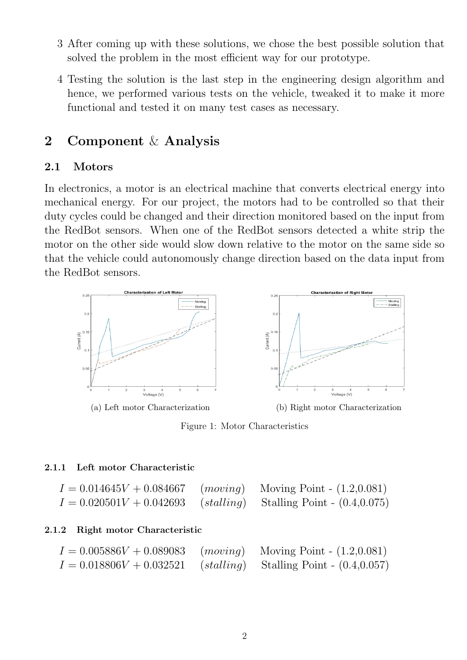- 3 After coming up with these solutions, we chose the best possible solution that solved the problem in the most efficient way for our prototype.
- 4 Testing the solution is the last step in the engineering design algorithm and hence, we performed various tests on the vehicle, tweaked it to make it more functional and tested it on many test cases as necessary.

### 2 Component & Analysis

#### 2.1 Motors

In electronics, a motor is an electrical machine that converts electrical energy into mechanical energy. For our project, the motors had to be controlled so that their duty cycles could be changed and their direction monitored based on the input from the RedBot sensors. When one of the RedBot sensors detected a white strip the motor on the other side would slow down relative to the motor on the same side so that the vehicle could autonomously change direction based on the data input from the RedBot sensors.



Figure 1: Motor Characteristics

#### 2.1.1 Left motor Characteristic

| $I = 0.014645V + 0.084667$ | $(moving)$ Moving Point - $(1.2,0.081)$      |  |
|----------------------------|----------------------------------------------|--|
| $I = 0.020501V + 0.042693$ | $(statling)$ Stalling Point - $(0.4, 0.075)$ |  |

#### 2.1.2 Right motor Characteristic

| $I = 0.005886V + 0.089083$                                         | $(moving)$ Moving Point - $(1.2, 0.081)$ |  |
|--------------------------------------------------------------------|------------------------------------------|--|
| $I = 0.018806V + 0.032521$ (stalling) Stalling Point - (0.4,0.057) |                                          |  |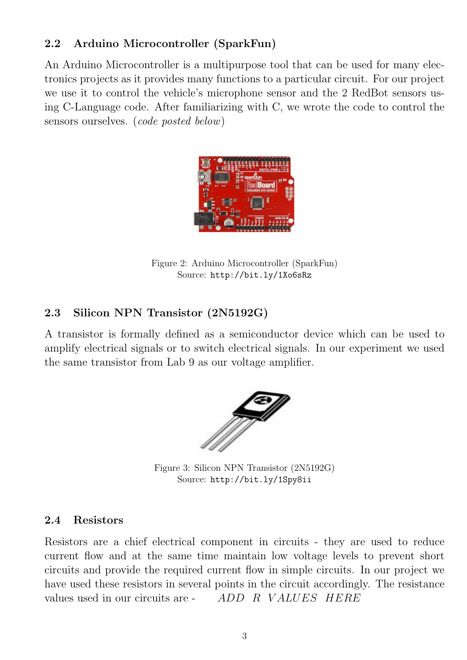## 2.2 Arduino Microcontroller (SparkFun)

An Arduino Microcontroller is a multipurpose tool that can be used for many electronics projects as it provides many functions to a particular circuit. For our project we use it to control the vehicle's microphone sensor and the 2 RedBot sensors using C-Language code. After familiarizing with C, we wrote the code to control the sensors ourselves. (code posted below)



Figure 2: Arduino Microcontroller (SparkFun) Source: http://bit.ly/1Xo6sRz

### 2.3 Silicon NPN Transistor (2N5192G)

A transistor is formally defined as a semiconductor device which can be used to amplify electrical signals or to switch electrical signals. In our experiment we used the same transistor from Lab 9 as our voltage amplifier.



Figure 3: Silicon NPN Transistor (2N5192G) Source: http://bit.ly/1Spy8ii

#### 2.4 Resistors

Resistors are a chief electrical component in circuits - they are used to reduce current flow and at the same time maintain low voltage levels to prevent short circuits and provide the required current flow in simple circuits. In our project we have used these resistors in several points in the circuit accordingly. The resistance values used in our circuits are - ADD R VALUES HERE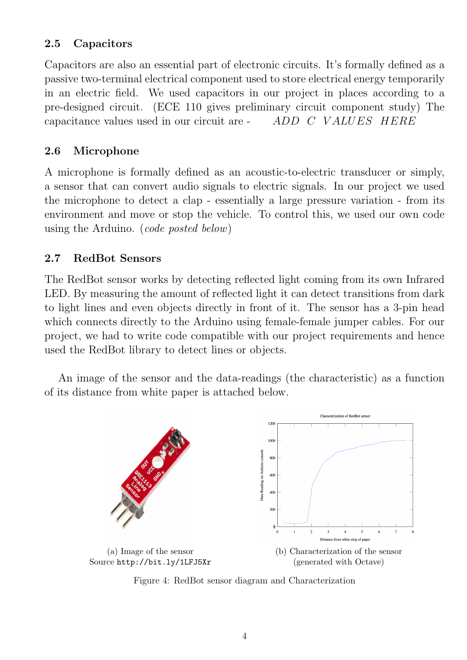### 2.5 Capacitors

Capacitors are also an essential part of electronic circuits. It's formally defined as a passive two-terminal electrical component used to store electrical energy temporarily in an electric field. We used capacitors in our project in places according to a pre-designed circuit. (ECE 110 gives preliminary circuit component study) The capacitance values used in our circuit are - ADD C VALUES HERE

### 2.6 Microphone

A microphone is formally defined as an acoustic-to-electric transducer or simply, a sensor that can convert audio signals to electric signals. In our project we used the microphone to detect a clap - essentially a large pressure variation - from its environment and move or stop the vehicle. To control this, we used our own code using the Arduino. (code posted below)

#### 2.7 RedBot Sensors

The RedBot sensor works by detecting reflected light coming from its own Infrared LED. By measuring the amount of reflected light it can detect transitions from dark to light lines and even objects directly in front of it. The sensor has a 3-pin head which connects directly to the Arduino using female-female jumper cables. For our project, we had to write code compatible with our project requirements and hence used the RedBot library to detect lines or objects.

An image of the sensor and the data-readings (the characteristic) as a function of its distance from white paper is attached below.



Figure 4: RedBot sensor diagram and Characterization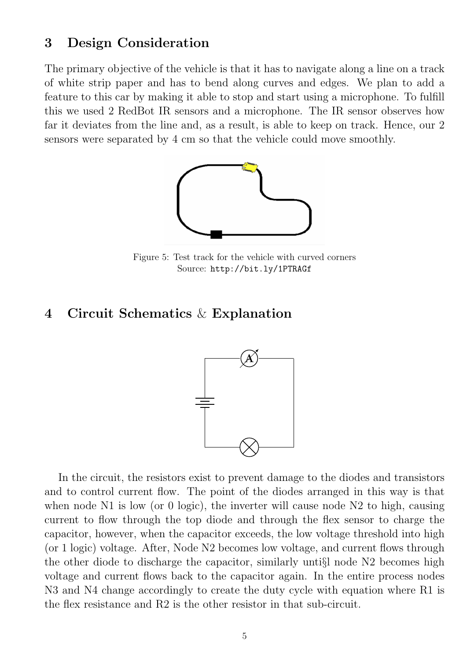#### 3 Design Consideration

The primary objective of the vehicle is that it has to navigate along a line on a track of white strip paper and has to bend along curves and edges. We plan to add a feature to this car by making it able to stop and start using a microphone. To fulfill this we used 2 RedBot IR sensors and a microphone. The IR sensor observes how far it deviates from the line and, as a result, is able to keep on track. Hence, our 2 sensors were separated by 4 cm so that the vehicle could move smoothly.



Figure 5: Test track for the vehicle with curved corners Source: http://bit.ly/1PTRAGf

#### 4 Circuit Schematics & Explanation



In the circuit, the resistors exist to prevent damage to the diodes and transistors and to control current flow. The point of the diodes arranged in this way is that when node N1 is low (or 0 logic), the inverter will cause node N2 to high, causing current to flow through the top diode and through the flex sensor to charge the capacitor, however, when the capacitor exceeds, the low voltage threshold into high (or 1 logic) voltage. After, Node N2 becomes low voltage, and current flows through the other diode to discharge the capacitor, similarly unti§l node N2 becomes high voltage and current flows back to the capacitor again. In the entire process nodes N3 and N4 change accordingly to create the duty cycle with equation where R1 is the flex resistance and R2 is the other resistor in that sub-circuit.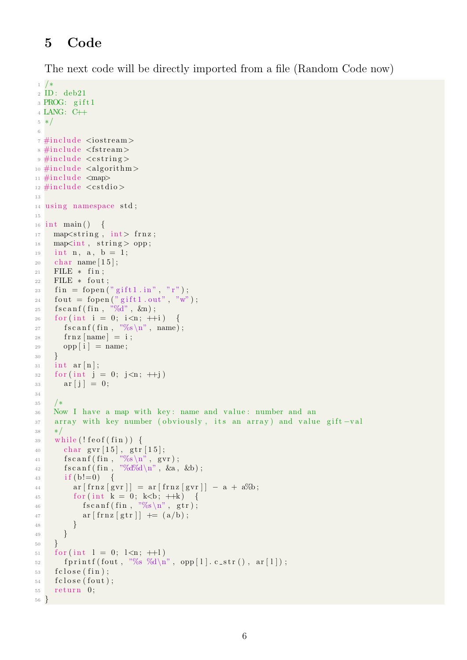## 5 Code

The next code will be directly imported from a file (Random Code now)

```
1 /∗
 2 ID : deb21
 3 PROG: gift1
 4 LANG: C++
 5 ∗/
 6
 \tau#include <iostream>
 8 #include <fstream>
\frac{1}{2} #include <cstring>
10 \#include <algorithm>
11 \#\text{include} \langle \text{map} \rangle_{12} #include \langle \text{cstdio} \rangle13
14 using namespace std;
15
_{16} int main () {
_{17} map\ltstring, int> frnz;
18 map\ltint, string > opp;
_{19} int n, a, b = 1;
20 char name [15];
21 FILE * fin;
22 FILE * fout;
23 fin = fopen ("gift1.in", "r");
24 fout = fopen ("gift1.out", "w");
25 f s c an f (fin, \sqrt[10]{d}, \&n);
26 for (int i = 0; i<n; +i)
27 f s c an f ( fin , \sqrt[10]{6} \n'', name);
28 \text{frnz} [\text{name}] = i ;29 opp[i] = name;30 }
31 int ar [n];
32 \quad \text{for (int } j = 0; j \leq n; \text{++}j)33 \quad \text{ar} [i] = 0;34
35 /∗
36 Now I have a map with key: name and value: number and an
37 array with key number ( obviously, its an array) and value gift -val
38 ∗/
39 while (! feof (fin)) {
40 char gvr[15], gtr[15];
41 fscanf(fin, \sqrt[9]{6}s\n", gvr);
_{42} f s c an f ( fin , "%d%d\n", &a, &b);
43 if (b! = 0) {
44 ar [\text{frnz} [\text{gvr}]] = \text{ar} [\text{frnz} [\text{gvr}]] - \text{a} + \text{a\%b};
45 \text{for (int } k = 0; \ k \le b; \ +\text{ }k) \{\rm 46} \hspace{2cm} \text{fs canf (fin , ``\%s\hskip-1.5pt\backslash n", gtr )} \, ;47 \ar\left[\,\text{frnz}\,[\,\text{gtr}\,]\right] \;+\;=\; \left(a\,/\,\text{b}\right);48 }
49 }
50 }
51 for (int 1 = 0; 1<n; ++1)
\mathfrak{so} f p r in t f ( fout , "%s %d\n", opp [1]. c_str(), ar [1]);
53 f c l o s e (fin);
54 f c l o s e (fout);
55 return 0;
56\,
```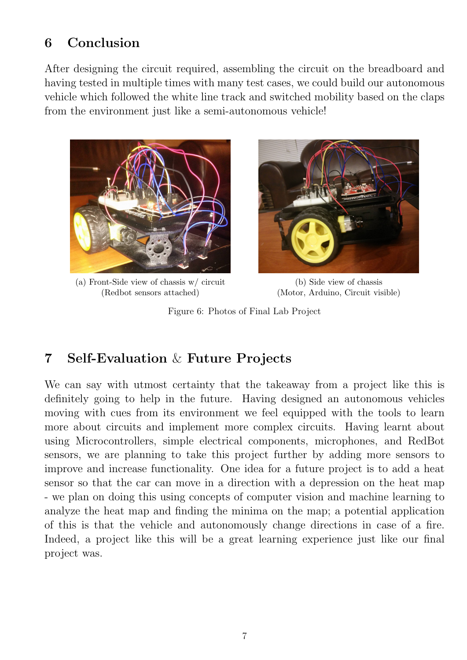## 6 Conclusion

After designing the circuit required, assembling the circuit on the breadboard and having tested in multiple times with many test cases, we could build our autonomous vehicle which followed the white line track and switched mobility based on the claps from the environment just like a semi-autonomous vehicle!



(a) Front-Side view of chassis w/ circuit (Redbot sensors attached)



(b) Side view of chassis (Motor, Arduino, Circuit visible)

Figure 6: Photos of Final Lab Project

## 7 Self-Evaluation & Future Projects

We can say with utmost certainty that the takeaway from a project like this is definitely going to help in the future. Having designed an autonomous vehicles moving with cues from its environment we feel equipped with the tools to learn more about circuits and implement more complex circuits. Having learnt about using Microcontrollers, simple electrical components, microphones, and RedBot sensors, we are planning to take this project further by adding more sensors to improve and increase functionality. One idea for a future project is to add a heat sensor so that the car can move in a direction with a depression on the heat map - we plan on doing this using concepts of computer vision and machine learning to analyze the heat map and finding the minima on the map; a potential application of this is that the vehicle and autonomously change directions in case of a fire. Indeed, a project like this will be a great learning experience just like our final project was.